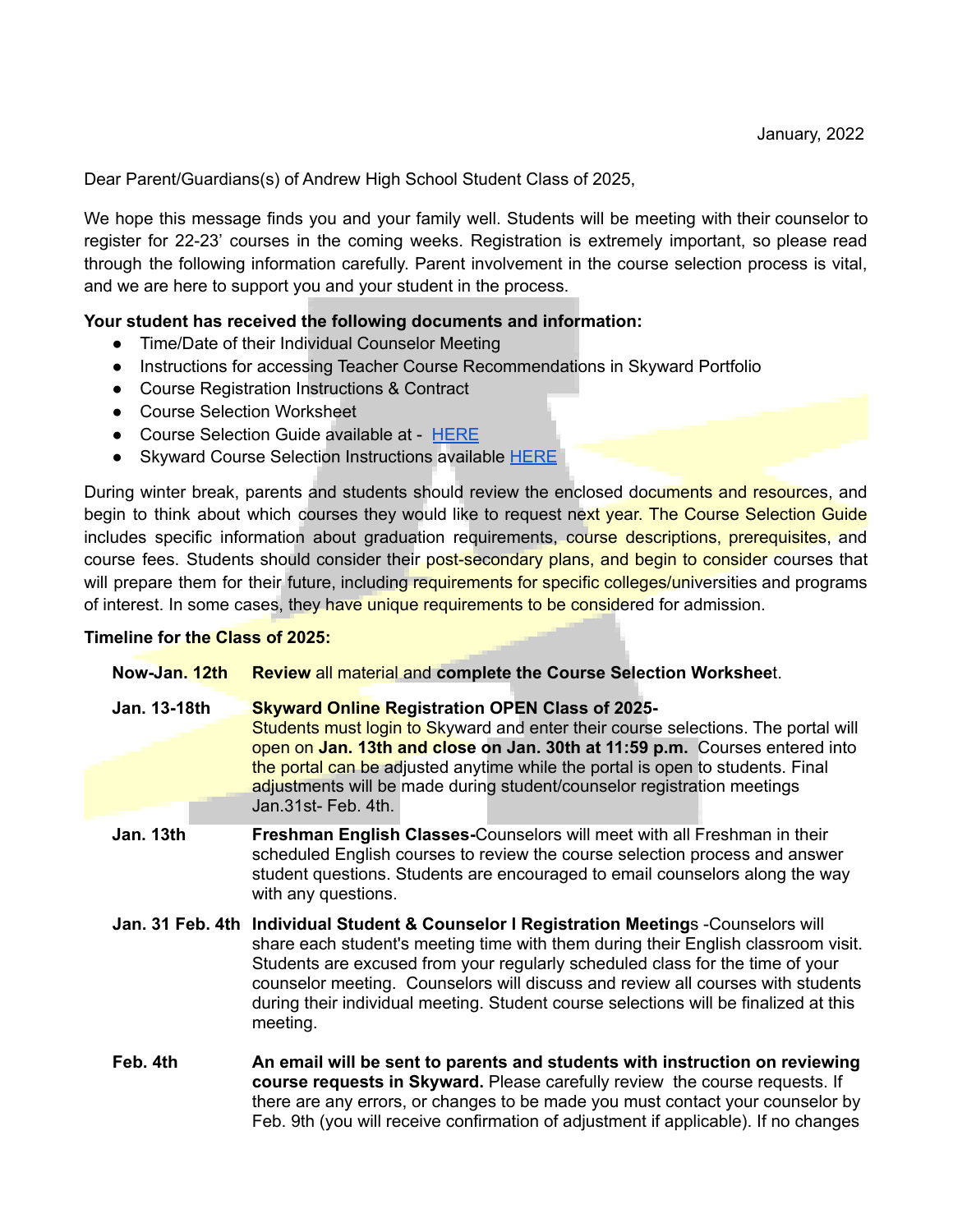Dear Parent/Guardians(s) of Andrew High School Student Class of 2025,

We hope this message finds you and your family well. Students will be meeting with their counselor to register for 22-23' courses in the coming weeks. Registration is extremely important, so please read through the following information carefully. Parent involvement in the course selection process is vital, and we are here to support you and your student in the process.

## **Your student has received the following documents and information:**

- Time/Date of their Individual Counselor Meeting
- Instructions for accessing Teacher Course Recommendations in Skyward Portfolio
- Course Registration Instructions & Contract
- Course Selection Worksheet
- Course Selection Guide available at [HERE](https://chsd230.eduk8.me/)
- Skyward Course Selection Instructions available [HERE](https://drive.google.com/file/d/1r5XjIPo17XskcJTO8VGvfO-qwIAkt6ZM/view?usp=sharing)

During winter break, parents and students should review the enclosed documents and resources, and begin to think about which courses they would like to request next year. The Course Selection Guide includes specific information about graduation requirements, course descriptions, prerequisites, and course fees. Students should consider their post-secondary plans, and begin to consider courses that will prepare them for their future, including requirements for specific colleges/universities and programs of interest. In some cases, they have unique requirements to be considered for admission.

## **Timeline for the Class of 2025:**

| Now-Jan. 12th | <b>Review all material and complete the Course Selection Worksheet.</b>                                                                                                                                                                                                                                                                                                                                                                               |
|---------------|-------------------------------------------------------------------------------------------------------------------------------------------------------------------------------------------------------------------------------------------------------------------------------------------------------------------------------------------------------------------------------------------------------------------------------------------------------|
| Jan. 13-18th  | <b>Skyward Online Registration OPEN Class of 2025-</b><br>Students must login to Skyward and enter their course selections. The portal will<br>open on Jan. 13th and close on Jan. 30th at 11:59 p.m. Courses entered into<br>the portal can be adjusted anytime while the portal is open to students. Final<br>adjustments will be made during student/counselor registration meetings<br>Jan.31st-Feb. 4th.                                         |
| Jan. 13th     | Freshman English Classes-Counselors will meet with all Freshman in their<br>scheduled English courses to review the course selection process and answer<br>student questions. Students are encouraged to email counselors along the way<br>with any questions.                                                                                                                                                                                        |
|               | Jan. 31 Feb. 4th Individual Student & Counselor I Registration Meetings -Counselors will<br>share each student's meeting time with them during their English classroom visit.<br>Students are excused from your regularly scheduled class for the time of your<br>counselor meeting. Counselors will discuss and review all courses with students<br>during their individual meeting. Student course selections will be finalized at this<br>meeting. |
| Feb. 4th      | An email will be sent to parents and students with instruction on reviewing<br>course requests in Skyward. Please carefully review the course requests. If<br>there are any errors, or changes to be made you must contact your counselor by<br>Feb. 9th (you will receive confirmation of adjustment if applicable). If no changes                                                                                                                   |